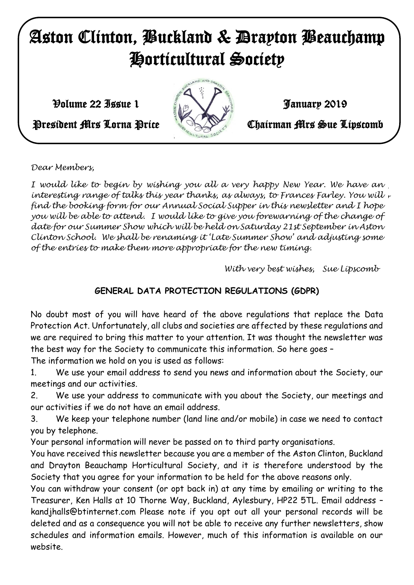# Aston Clinton, Buckland & Drayton Beauchamp Horticultural Society

 $\mathcal{V}$ olume 22 Issue 1 January 2019



President Mrs Lorna Price **Chairman Mrs Sue Lipscomb** 

*Dear Members,*

*With very best wishes, I would like to begin by wishing you all a very happy New Year. We have an Sue Lipscomb interesting range of talks this year thanks, as always, to Frances Farley. You will find the booking form for our Annual Social Supper in this newsletter and I hope you will be able to attend. I would like to give you forewarning of the change of date for our Summer Show which will be held on Saturday 21st September in Aston Clinton School. We shall be renaming it 'Late Summer Show' and adjusting some of the entries to make them more appropriate for the new timing.* 

 *With very best wishes, Sue Lipscomb*

## **GENERAL DATA PROTECTION REGULATIONS (GDPR)**

No doubt most of you will have heard of the above regulations that replace the Data Protection Act. Unfortunately, all clubs and societies are affected by these regulations and we are required to bring this matter to your attention. It was thought the newsletter was the best way for the Society to communicate this information. So here goes –

The information we hold on you is used as follows:

1. We use your email address to send you news and information about the Society, our meetings and our activities.

2. We use your address to communicate with you about the Society, our meetings and our activities if we do not have an email address.

3. We keep your telephone number (land line and/or mobile) in case we need to contact you by telephone.

Your personal information will never be passed on to third party organisations.

You have received this newsletter because you are a member of the Aston Clinton, Buckland and Drayton Beauchamp Horticultural Society, and it is therefore understood by the Society that you agree for your information to be held for the above reasons only.

You can withdraw your consent (or opt back in) at any time by emailing or writing to the Treasurer, Ken Halls at 10 Thorne Way, Buckland, Aylesbury, HP22 5TL. Email address – kandjhalls@btinternet.com Please note if you opt out all your personal records will be deleted and as a consequence you will not be able to receive any further newsletters, show schedules and information emails. However, much of this information is available on our website.